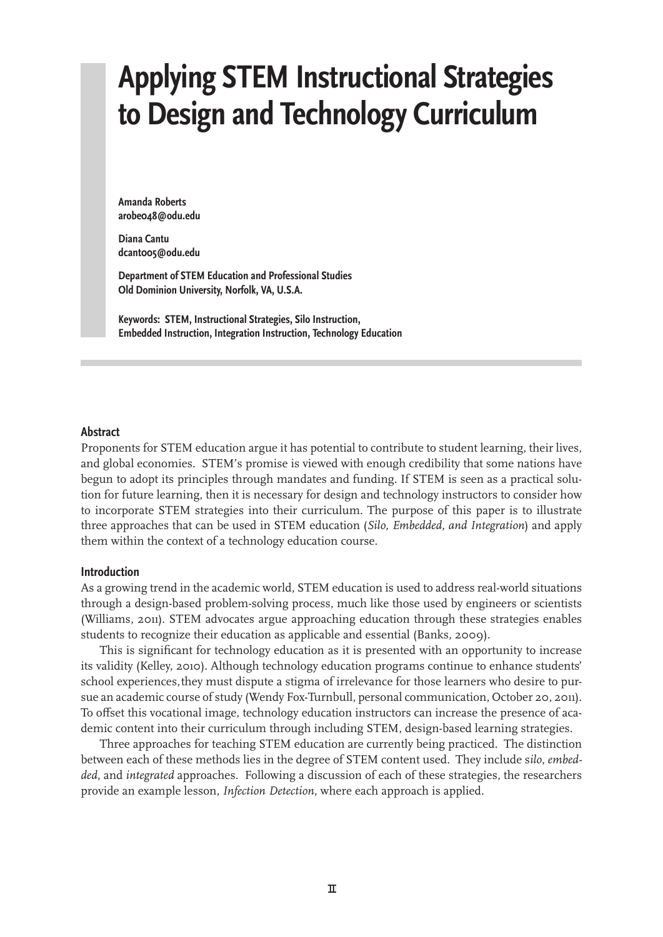# **Applying STEM Instructional Strategies to Design and Technology Curriculum**

**Amanda Roberts arobe048@odu.edu**

**Diana Cantu dcant005@odu.edu** 

**Department of STEM Education and Professional Studies Old Dominion University, Norfolk, VA, U.S.A.**

**Keywords: STEM, Instructional Strategies, Silo Instruction, Embedded Instruction, Integration Instruction, Technology Education**

### **Abstract**

Proponents for STEM education argue it has potential to contribute to student learning, their lives, and global economies. STEM's promise is viewed with enough credibility that some nations have begun to adopt its principles through mandates and funding. If STEM is seen as a practical solution for future learning, then it is necessary for design and technology instructors to consider how to incorporate STEM strategies into their curriculum. The purpose of this paper is to illustrate three approaches that can be used in STEM education (*Silo, Embedded, and Integration*) and apply them within the context of a technology education course.

#### **Introduction**

As a growing trend in the academic world, STEM education is used to address real-world situations through a design-based problem-solving process, much like those used by engineers or scientists (Williams, 2011). STEM advocates argue approaching education through these strategies enables students to recognize their education as applicable and essential (Banks, 2009).

This is significant for technology education as it is presented with an opportunity to increase its validity (Kelley, 2010). Although technology education programs continue to enhance students' school experiences, they must dispute a stigma of irrelevance for those learners who desire to pursue an academic course of study (Wendy Fox-Turnbull, personal communication, October 20, 2011). To offset this vocational image, technology education instructors can increase the presence of academic content into their curriculum through including STEM, design-based learning strategies.

Three approaches for teaching STEM education are currently being practiced. The distinction between each of these methods lies in the degree of STEM content used. They include s*ilo*, *embedded*, and *integrated* approaches. Following a discussion of each of these strategies, the researchers provide an example lesson, *Infection Detection*, where each approach is applied.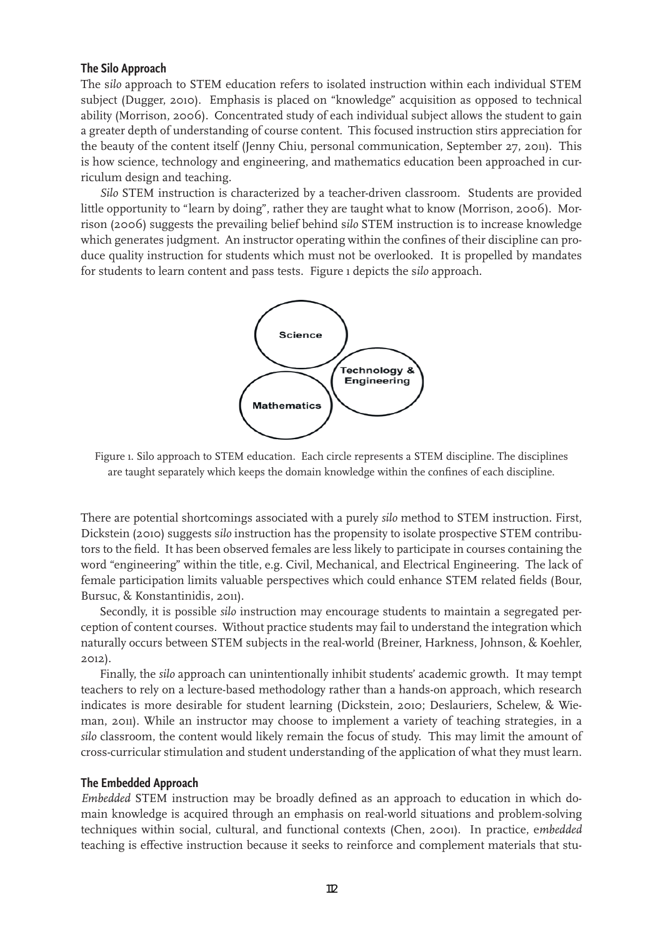## **The Silo Approach**

The s*ilo* approach to STEM education refers to isolated instruction within each individual STEM subject (Dugger, 2010). Emphasis is placed on "knowledge" acquisition as opposed to technical ability (Morrison, 2006). Concentrated study of each individual subject allows the student to gain a greater depth of understanding of course content. This focused instruction stirs appreciation for the beauty of the content itself (Jenny Chiu, personal communication, September 27, 2011). This is how science, technology and engineering, and mathematics education been approached in curriculum design and teaching.

*Silo* STEM instruction is characterized by a teacher-driven classroom. Students are provided little opportunity to "learn by doing", rather they are taught what to know (Morrison, 2006). Morrison (2006) suggests the prevailing belief behind s*ilo* STEM instruction is to increase knowledge which generates judgment. An instructor operating within the confines of their discipline can produce quality instruction for students which must not be overlooked. It is propelled by mandates for students to learn content and pass tests. Figure 1 depicts the s*ilo* approach.



Figure 1. Silo approach to STEM education. Each circle represents a STEM discipline. The disciplines are taught separately which keeps the domain knowledge within the confines of each discipline.

There are potential shortcomings associated with a purely *silo* method to STEM instruction. First, Dickstein (2010) suggests s*ilo* instruction has the propensity to isolate prospective STEM contributors to the field. It has been observed females are less likely to participate in courses containing the word "engineering" within the title, e.g. Civil, Mechanical, and Electrical Engineering. The lack of female participation limits valuable perspectives which could enhance STEM related fields (Bour, Bursuc, & Konstantinidis, 2011).

Secondly, it is possible *silo* instruction may encourage students to maintain a segregated perception of content courses. Without practice students may fail to understand the integration which naturally occurs between STEM subjects in the real-world (Breiner, Harkness, Johnson, & Koehler, 2012).

Finally, the *silo* approach can unintentionally inhibit students' academic growth. It may tempt teachers to rely on a lecture-based methodology rather than a hands-on approach, which research indicates is more desirable for student learning (Dickstein, 2010; Deslauriers, Schelew, & Wieman, 2011). While an instructor may choose to implement a variety of teaching strategies, in a *silo* classroom, the content would likely remain the focus of study. This may limit the amount of cross-curricular stimulation and student understanding of the application of what they must learn.

#### **The Embedded Approach**

*Embedded* STEM instruction may be broadly defined as an approach to education in which domain knowledge is acquired through an emphasis on real-world situations and problem-solving techniques within social, cultural, and functional contexts (Chen, 2001). In practice, e*mbedded* teaching is effective instruction because it seeks to reinforce and complement materials that stu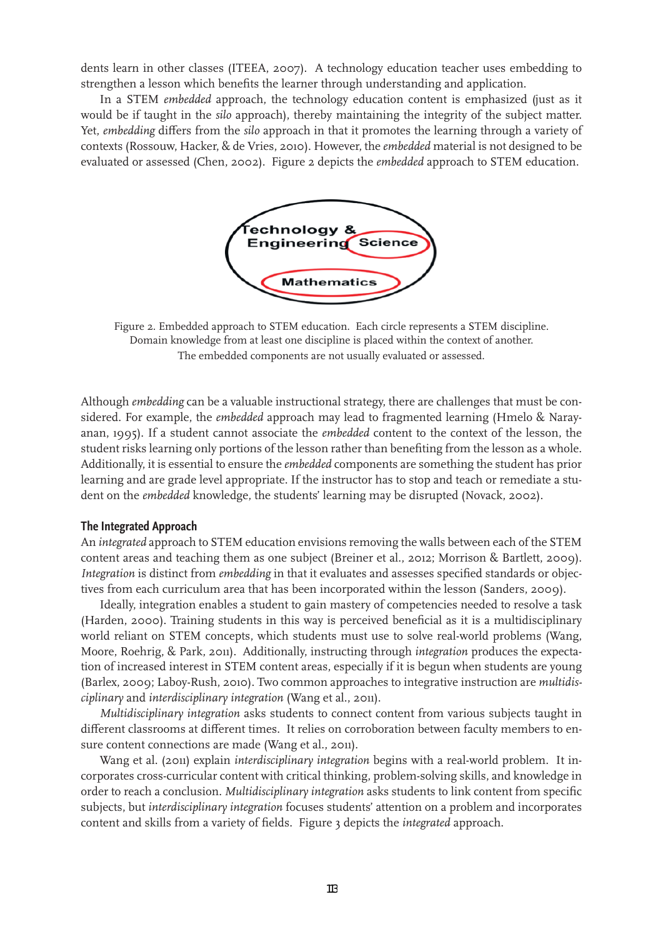dents learn in other classes (ITEEA, 2007). A technology education teacher uses embedding to strengthen a lesson which benefits the learner through understanding and application.

In a STEM *embedded* approach, the technology education content is emphasized (just as it would be if taught in the *silo* approach), thereby maintaining the integrity of the subject matter. Yet, *embedding* differs from the *silo* approach in that it promotes the learning through a variety of contexts (Rossouw, Hacker, & de Vries, 2010). However, the *embedded* material is not designed to be evaluated or assessed (Chen, 2002). Figure 2 depicts the *embedded* approach to STEM education.



Figure 2. Embedded approach to STEM education. Each circle represents a STEM discipline. Domain knowledge from at least one discipline is placed within the context of another. The embedded components are not usually evaluated or assessed.

Although *embedding* can be a valuable instructional strategy, there are challenges that must be considered. For example, the *embedded* approach may lead to fragmented learning (Hmelo & Narayanan, 1995). If a student cannot associate the *embedded* content to the context of the lesson, the student risks learning only portions of the lesson rather than benefiting from the lesson as a whole. Additionally, it is essential to ensure the *embedded* components are something the student has prior learning and are grade level appropriate. If the instructor has to stop and teach or remediate a student on the *embedded* knowledge, the students' learning may be disrupted (Novack, 2002).

## **The Integrated Approach**

An *integrated* approach to STEM education envisions removing the walls between each of the STEM content areas and teaching them as one subject (Breiner et al., 2012; Morrison & Bartlett, 2009). *Integration* is distinct from *embedding* in that it evaluates and assesses specified standards or objectives from each curriculum area that has been incorporated within the lesson (Sanders, 2009).

Ideally, integration enables a student to gain mastery of competencies needed to resolve a task (Harden, 2000). Training students in this way is perceived beneficial as it is a multidisciplinary world reliant on STEM concepts, which students must use to solve real-world problems (Wang, Moore, Roehrig, & Park, 2011). Additionally, instructing through *integration* produces the expectation of increased interest in STEM content areas, especially if it is begun when students are young (Barlex, 2009; Laboy-Rush, 2010). Two common approaches to integrative instruction are *multidisciplinary* and *interdisciplinary integration* (Wang et al., 2011).

*Multidisciplinary integration* asks students to connect content from various subjects taught in different classrooms at different times. It relies on corroboration between faculty members to ensure content connections are made (Wang et al., 2011).

Wang et al. (2011) explain *interdisciplinary integration* begins with a real-world problem. It incorporates cross-curricular content with critical thinking, problem-solving skills, and knowledge in order to reach a conclusion. *Multidisciplinary integration* asks students to link content from specific subjects, but *interdisciplinary integration* focuses students' attention on a problem and incorporates content and skills from a variety of fields. Figure 3 depicts the *integrated* approach.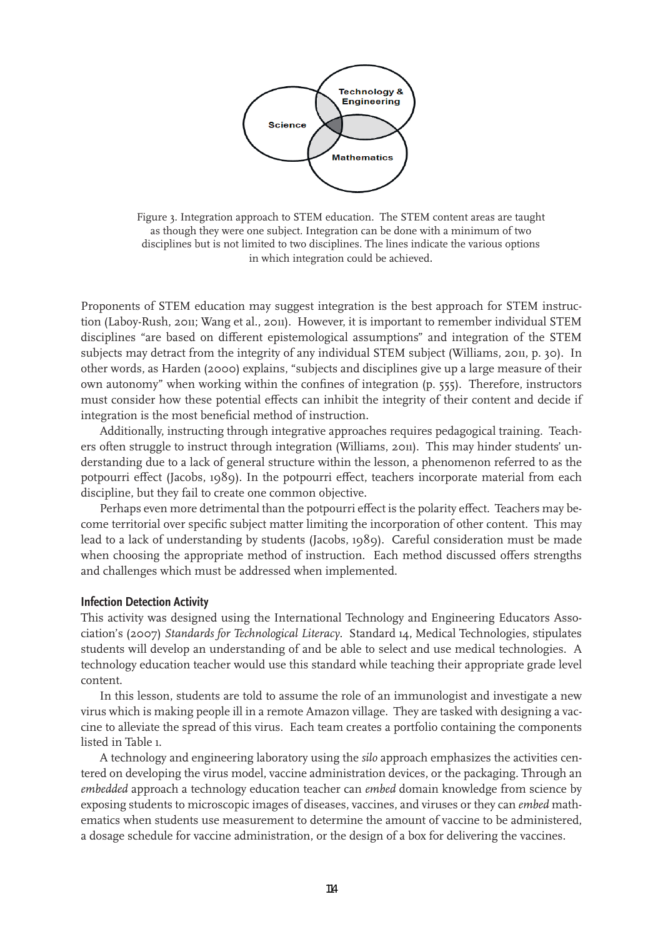

Figure 3. Integration approach to STEM education. The STEM content areas are taught as though they were one subject. Integration can be done with a minimum of two disciplines but is not limited to two disciplines. The lines indicate the various options in which integration could be achieved.

Proponents of STEM education may suggest integration is the best approach for STEM instruction (Laboy-Rush, 2011; Wang et al., 2011). However, it is important to remember individual STEM disciplines "are based on different epistemological assumptions" and integration of the STEM subjects may detract from the integrity of any individual STEM subject (Williams, 2011, p. 30). In other words, as Harden (2000) explains, "subjects and disciplines give up a large measure of their own autonomy" when working within the confines of integration (p. 555). Therefore, instructors must consider how these potential effects can inhibit the integrity of their content and decide if integration is the most beneficial method of instruction.

Additionally, instructing through integrative approaches requires pedagogical training. Teachers often struggle to instruct through integration (Williams, 2011). This may hinder students' understanding due to a lack of general structure within the lesson, a phenomenon referred to as the potpourri effect (Jacobs, 1989). In the potpourri effect, teachers incorporate material from each discipline, but they fail to create one common objective.

Perhaps even more detrimental than the potpourri effect is the polarity effect. Teachers may become territorial over specific subject matter limiting the incorporation of other content. This may lead to a lack of understanding by students (Jacobs, 1989). Careful consideration must be made when choosing the appropriate method of instruction. Each method discussed offers strengths and challenges which must be addressed when implemented.

#### **Infection Detection Activity**

This activity was designed using the International Technology and Engineering Educators Association's (2007) *Standards for Technological Literacy*. Standard 14, Medical Technologies, stipulates students will develop an understanding of and be able to select and use medical technologies. A technology education teacher would use this standard while teaching their appropriate grade level content.

In this lesson, students are told to assume the role of an immunologist and investigate a new virus which is making people ill in a remote Amazon village. They are tasked with designing a vaccine to alleviate the spread of this virus. Each team creates a portfolio containing the components listed in Table 1.

A technology and engineering laboratory using the *silo* approach emphasizes the activities centered on developing the virus model, vaccine administration devices, or the packaging. Through an *embedded* approach a technology education teacher can *embed* domain knowledge from science by exposing students to microscopic images of diseases, vaccines, and viruses or they can *embed* mathematics when students use measurement to determine the amount of vaccine to be administered, a dosage schedule for vaccine administration, or the design of a box for delivering the vaccines.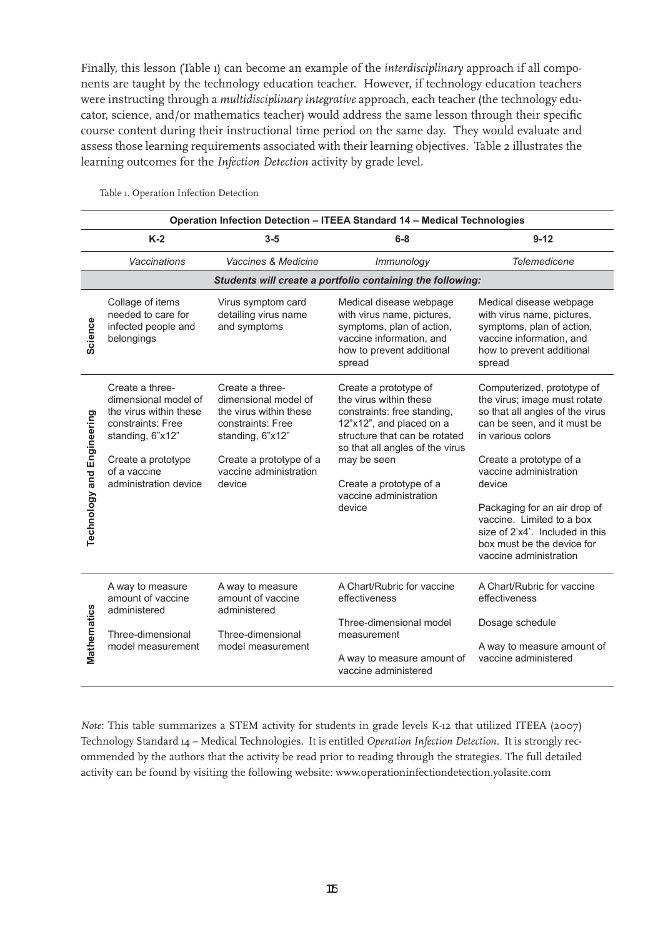Finally, this lesson (Table 1) can become an example of the *interdisciplinary* approach if all components are taught by the technology education teacher. However, if technology education teachers were instructing through a *multidisciplinary integrative* approach, each teacher (the technology educator, science, and/or mathematics teacher) would address the same lesson through their specific course content during their instructional time period on the same day. They would evaluate and assess those learning requirements associated with their learning objectives. Table 2 illustrates the learning outcomes for the *Infection Detection* activity by grade level.

| Operation Infection Detection - ITEEA Standard 14 - Medical Technologies |                                                                                                                                                                           |                                                                                                                                                                           |                                                                                                                                                                                                                                                              |                                                                                                                                                                                                                                                                                                                                                                          |  |
|--------------------------------------------------------------------------|---------------------------------------------------------------------------------------------------------------------------------------------------------------------------|---------------------------------------------------------------------------------------------------------------------------------------------------------------------------|--------------------------------------------------------------------------------------------------------------------------------------------------------------------------------------------------------------------------------------------------------------|--------------------------------------------------------------------------------------------------------------------------------------------------------------------------------------------------------------------------------------------------------------------------------------------------------------------------------------------------------------------------|--|
|                                                                          | $K-2$                                                                                                                                                                     | $3-5$                                                                                                                                                                     | $6-8$                                                                                                                                                                                                                                                        | $9 - 12$                                                                                                                                                                                                                                                                                                                                                                 |  |
|                                                                          | Vaccinations                                                                                                                                                              | Vaccines & Medicine                                                                                                                                                       | Immunology                                                                                                                                                                                                                                                   | Telemedicene                                                                                                                                                                                                                                                                                                                                                             |  |
| Students will create a portfolio containing the following:               |                                                                                                                                                                           |                                                                                                                                                                           |                                                                                                                                                                                                                                                              |                                                                                                                                                                                                                                                                                                                                                                          |  |
| Science                                                                  | Collage of items<br>needed to care for<br>infected people and<br>belongings                                                                                               | Virus symptom card<br>detailing virus name<br>and symptoms                                                                                                                | Medical disease webpage<br>with virus name, pictures,<br>symptoms, plan of action,<br>vaccine information, and<br>how to prevent additional<br>spread                                                                                                        | Medical disease webpage<br>with virus name, pictures,<br>symptoms, plan of action,<br>vaccine information, and<br>how to prevent additional<br>spread                                                                                                                                                                                                                    |  |
| Technology and Engineering                                               | Create a three-<br>dimensional model of<br>the virus within these<br>constraints: Free<br>standing, 6"x12"<br>Create a prototype<br>of a vaccine<br>administration device | Create a three-<br>dimensional model of<br>the virus within these<br>constraints: Free<br>standing, 6"x12"<br>Create a prototype of a<br>vaccine administration<br>device | Create a prototype of<br>the virus within these<br>constraints: free standing,<br>12"x12", and placed on a<br>structure that can be rotated<br>so that all angles of the virus<br>may be seen<br>Create a prototype of a<br>vaccine administration<br>device | Computerized, prototype of<br>the virus; image must rotate<br>so that all angles of the virus<br>can be seen, and it must be<br>in various colors<br>Create a prototype of a<br>vaccine administration<br>device<br>Packaging for an air drop of<br>vaccine. Limited to a box<br>size of 2'x4'. Included in this<br>box must be the device for<br>vaccine administration |  |
| Mathematics                                                              | A way to measure<br>amount of vaccine<br>administered<br>Three-dimensional<br>model measurement                                                                           | A way to measure<br>amount of vaccine<br>administered<br>Three-dimensional<br>model measurement                                                                           | A Chart/Rubric for vaccine<br>effectiveness<br>Three-dimensional model<br>measurement<br>A way to measure amount of<br>vaccine administered                                                                                                                  | A Chart/Rubric for vaccine<br>effectiveness<br>Dosage schedule<br>A way to measure amount of<br>vaccine administered                                                                                                                                                                                                                                                     |  |

Table 1. Operation Infection Detection

*Note*: This table summarizes a STEM activity for students in grade levels K-12 that utilized ITEEA (2007) Technology Standard 14 – Medical Technologies. It is entitled *Operation Infection Detection*. It is strongly recommended by the authors that the activity be read prior to reading through the strategies. The full detailed activity can be found by visiting the following website: www.operationinfectiondetection.yolasite.com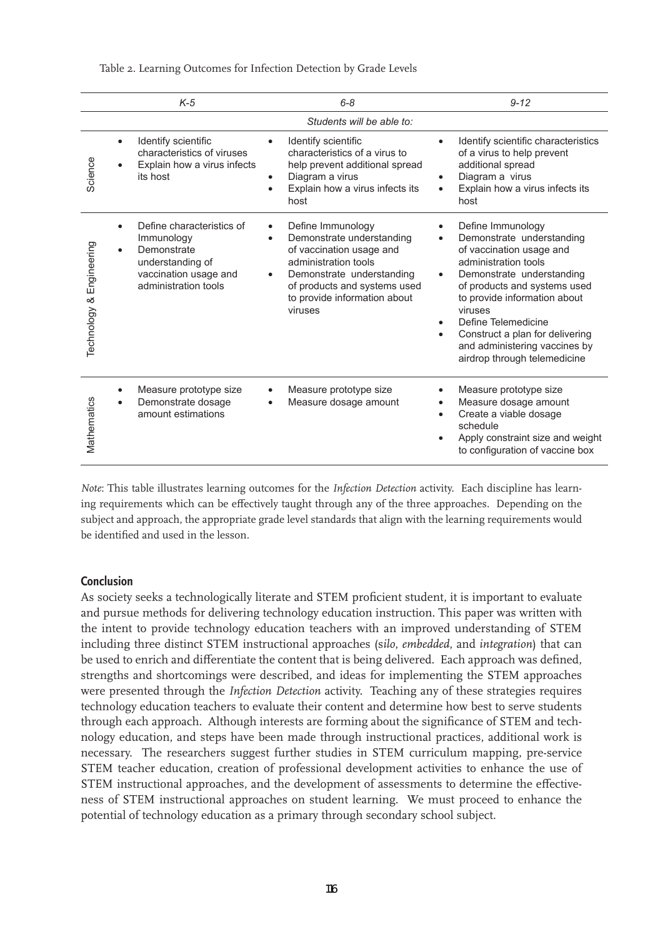Table 2. Learning Outcomes for Infection Detection by Grade Levels

|                             | $K-5$                                                                                                                                         | $6 - 8$                                                                                                                                                                                                                                           | $9 - 12$                                                                                                                                                                                                                                                                                                                                           |  |  |  |
|-----------------------------|-----------------------------------------------------------------------------------------------------------------------------------------------|---------------------------------------------------------------------------------------------------------------------------------------------------------------------------------------------------------------------------------------------------|----------------------------------------------------------------------------------------------------------------------------------------------------------------------------------------------------------------------------------------------------------------------------------------------------------------------------------------------------|--|--|--|
| Students will be able to:   |                                                                                                                                               |                                                                                                                                                                                                                                                   |                                                                                                                                                                                                                                                                                                                                                    |  |  |  |
| Science                     | Identify scientific<br>$\bullet$<br>characteristics of viruses<br>Explain how a virus infects<br>its host                                     | Identify scientific<br>characteristics of a virus to<br>help prevent additional spread<br>Diagram a virus<br>Explain how a virus infects its<br>host                                                                                              | Identify scientific characteristics<br>of a virus to help prevent<br>additional spread<br>Diagram a virus<br>$\bullet$<br>Explain how a virus infects its<br>host                                                                                                                                                                                  |  |  |  |
| Engineering<br>Technology & | Define characteristics of<br>ė<br>Immunology<br>Demonstrate<br>$\bullet$<br>understanding of<br>vaccination usage and<br>administration tools | Define Immunology<br>$\bullet$<br>Demonstrate understanding<br>$\bullet$<br>of vaccination usage and<br>administration tools<br>Demonstrate understanding<br>$\bullet$<br>of products and systems used<br>to provide information about<br>viruses | Define Immunology<br>Demonstrate understanding<br>$\bullet$<br>of vaccination usage and<br>administration tools<br>Demonstrate understanding<br>of products and systems used<br>to provide information about<br>viruses<br>Define Telemedicine<br>Construct a plan for delivering<br>and administering vaccines by<br>airdrop through telemedicine |  |  |  |
| Mathematics                 | Measure prototype size<br>Demonstrate dosage<br>amount estimations                                                                            | Measure prototype size<br>Measure dosage amount                                                                                                                                                                                                   | Measure prototype size<br>Measure dosage amount<br>Create a viable dosage<br>schedule<br>Apply constraint size and weight<br>to configuration of vaccine box                                                                                                                                                                                       |  |  |  |

*Note*: This table illustrates learning outcomes for the *Infection Detection* activity. Each discipline has learning requirements which can be effectively taught through any of the three approaches. Depending on the subject and approach, the appropriate grade level standards that align with the learning requirements would be identified and used in the lesson.

## **Conclusion**

As society seeks a technologically literate and STEM proficient student, it is important to evaluate and pursue methods for delivering technology education instruction. This paper was written with the intent to provide technology education teachers with an improved understanding of STEM including three distinct STEM instructional approaches (s*ilo*, *embedded*, and *integration*) that can be used to enrich and differentiate the content that is being delivered. Each approach was defined, strengths and shortcomings were described, and ideas for implementing the STEM approaches were presented through the *Infection Detection* activity. Teaching any of these strategies requires technology education teachers to evaluate their content and determine how best to serve students through each approach. Although interests are forming about the significance of STEM and technology education, and steps have been made through instructional practices, additional work is necessary. The researchers suggest further studies in STEM curriculum mapping, pre-service STEM teacher education, creation of professional development activities to enhance the use of STEM instructional approaches, and the development of assessments to determine the effectiveness of STEM instructional approaches on student learning. We must proceed to enhance the potential of technology education as a primary through secondary school subject.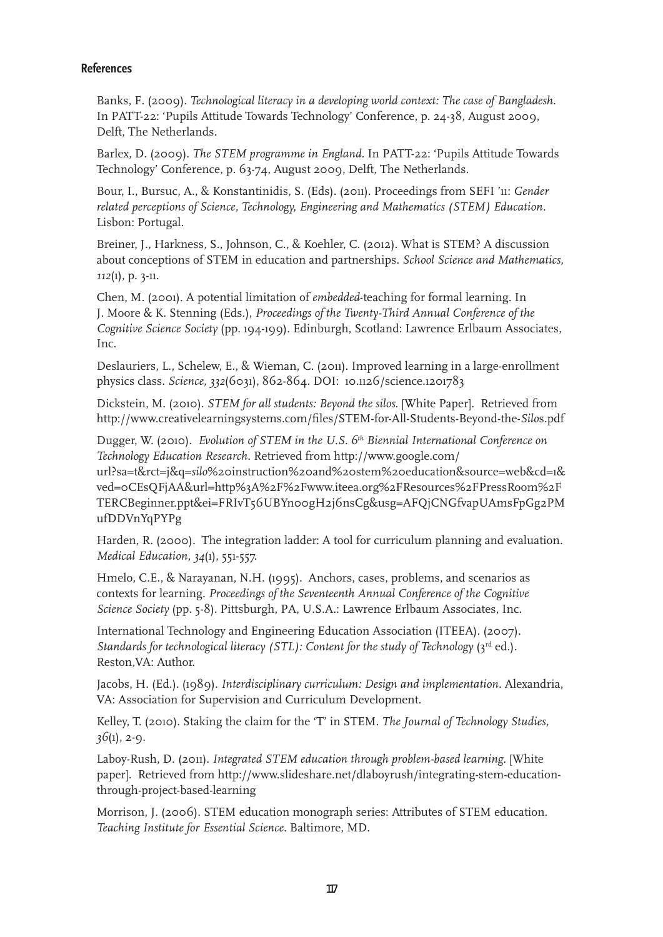## **References**

Banks, F. (2009). *Technological literacy in a developing world context: The case of Bangladesh*. In PATT-22: 'Pupils Attitude Towards Technology' Conference, p. 24-38, August 2009, Delft, The Netherlands.

Barlex, D. (2009). *The STEM programme in England*. In PATT-22: 'Pupils Attitude Towards Technology' Conference, p. 63-74, August 2009, Delft, The Netherlands.

Bour, I., Bursuc, A., & Konstantinidis, S. (Eds). (2011). Proceedings from SEFI '11: *Gender related perceptions of Science, Technology, Engineering and Mathematics (STEM) Education.*  Lisbon: Portugal.

Breiner, J., Harkness, S., Johnson, C., & Koehler, C. (2012). What is STEM? A discussion about conceptions of STEM in education and partnerships*. School Science and Mathematics, 112*(1), p. 3-11.

Chen, M. (2001). A potential limitation of *embedded*-teaching for formal learning. In J. Moore & K. Stenning (Eds.), *Proceedings of the Twenty-Third Annual Conference of the Cognitive Science Society* (pp. 194-199). Edinburgh, Scotland: Lawrence Erlbaum Associates, Inc.

Deslauriers, L., Schelew, E., & Wieman, C. (2011). Improved learning in a large-enrollment physics class. *Science, 332*(6031), 862-864. DOI: 10.1126/science.1201783

Dickstein, M. (2010). *STEM for all students: Beyond the silos*. [White Paper]. Retrieved from http://www.creativelearningsystems.com/files/STEM-for-All-Students-Beyond-the-*Silo*s.pdf

Dugger, W. (2010). *Evolution of STEM in the U.S. 6th Biennial International Conference on Technology Education Research*. Retrieved from http://www.google.com/ url?sa=t&rct=j&q=*silo*%20instruction%20and%20stem%20education&source=web&cd=1& ved=0CEsQFjAA&url=http%3A%2F%2Fwww.iteea.org%2FResources%2FPressRoom%2F TERCBeginner.ppt&ei=FRIvT56UBYn00gH2j6nsCg&usg=AFQjCNGfvapUAmsFpGg2PM ufDDVnYqPYPg

Harden, R. (2000). The integration ladder: A tool for curriculum planning and evaluation. *Medical Education*, *34*(1), 551-557.

Hmelo, C.E., & Narayanan, N.H. (1995). Anchors, cases, problems, and scenarios as contexts for learning. *Proceedings of the Seventeenth Annual Conference of the Cognitive Science Society* (pp. 5-8). Pittsburgh, PA, U.S.A.: Lawrence Erlbaum Associates, Inc.

International Technology and Engineering Education Association (ITEEA). (2007). *Standards for technological literacy (STL): Content for the study of Technology (3<sup>rd</sup> ed.).* Reston,VA: Author.

Jacobs, H. (Ed.). (1989). *Interdisciplinary curriculum: Design and implementation*. Alexandria, VA: Association for Supervision and Curriculum Development.

Kelley, T. (2010). Staking the claim for the 'T' in STEM. *The Journal of Technology Studies,*   $36(1), 2-9.$ 

Laboy-Rush, D. (2011). *Integrated STEM education through problem-based learning*. [White paper]. Retrieved from http://www.slideshare.net/dlaboyrush/integrating-stem-educationthrough-project-based-learning

Morrison, J. (2006). STEM education monograph series: Attributes of STEM education. *Teaching Institute for Essential Science.* Baltimore, MD.